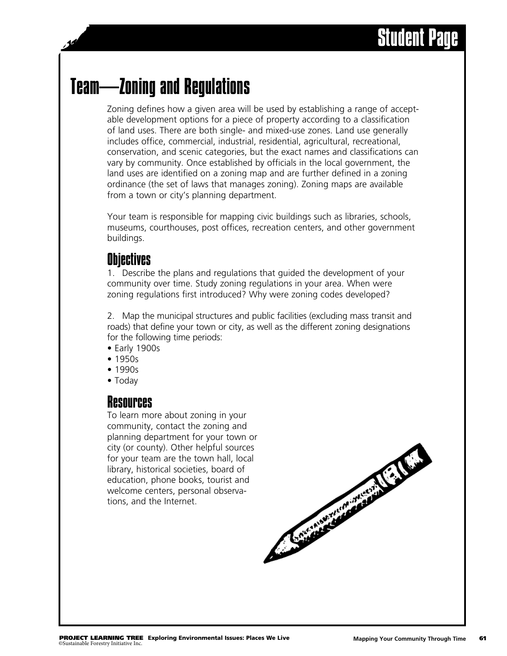# Student Page

## Team—Zoning and Regulations

Zoning defines how a given area will be used by establishing a range of acceptable development options for a piece of property according to a classification of land uses. There are both single- and mixed-use zones. Land use generally includes office, commercial, industrial, residential, agricultural, recreational, conservation, and scenic categories, but the exact names and classifications can vary by community. Once established by officials in the local government, the land uses are identified on a zoning map and are further defined in a zoning ordinance (the set of laws that manages zoning). Zoning maps are available from a town or city's planning department.

Your team is responsible for mapping civic buildings such as libraries, schools, museums, courthouses, post offices, recreation centers, and other government buildings.

### **Objectives**

1. Describe the plans and regulations that guided the development of your community over time. Study zoning regulations in your area. When were zoning regulations first introduced? Why were zoning codes developed?

2. Map the municipal structures and public facilities (excluding mass transit and roads) that define your town or city, as well as the different zoning designations for the following time periods:

- Early 1900s
- 1950s
- 1990s
- Today

#### **Resources**

To learn more about zoning in your community, contact the zoning and planning department for your town or city (or county). Other helpful sources for your team are the town hall, local library, historical societies, board of education, phone books, tourist and welcome centers, personal observations, and the Internet.

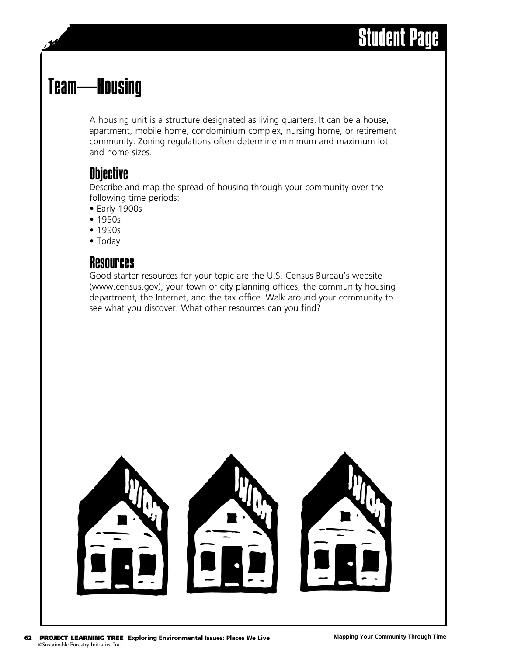## Team—Housing

A housing unit is a structure designated as living quarters. It can be a house, apartment, mobile home, condominium complex, nursing home, or retirement community. Zoning regulations often determine minimum and maximum lot and home sizes.

## **Objective**

Describe and map the spread of housing through your community over the following time periods:

- Early 1900s
- 1950s
- 1990s
- Today

#### Resources

Good starter resources for your topic are the U.S. Census Bureau's website (www.census.gov), your town or city planning offices, the community housing department, the Internet, and the tax office. Walk around your community to see what you discover. What other resources can you find?

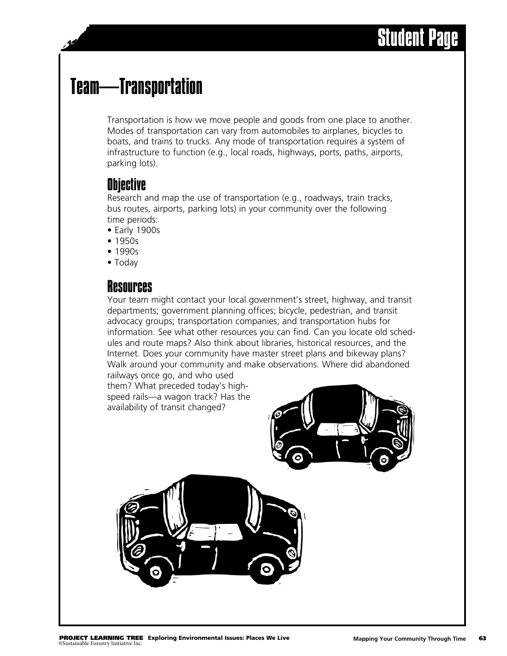# Student Pa

# Team—Transportation

Transportation is how we move people and goods from one place to another. Modes of transportation can vary from automobiles to airplanes, bicycles to boats, and trains to trucks. Any mode of transportation requires a system of infrastructure to function (e.g., local roads, highways, ports, paths, airports, parking lots).

### **Objective**

Research and map the use of transportation (e.g., roadways, train tracks, bus routes, airports, parking lots) in your community over the following time periods:

- Early 1900s
- 1950s
- 1990s
- Today

### **Resources**

Your team might contact your local government's street, highway, and transit departments; government planning offices; bicycle, pedestrian, and transit advocacy groups; transportation companies; and transportation hubs for information. See what other resources you can find. Can you locate old schedules and route maps? Also think about libraries, historical resources, and the Internet. Does your community have master street plans and bikeway plans? Walk around your community and make observations. Where did abandoned railways once go, and who used

them? What preceded today's highspeed rails—a wagon track? Has the availability of transit changed?



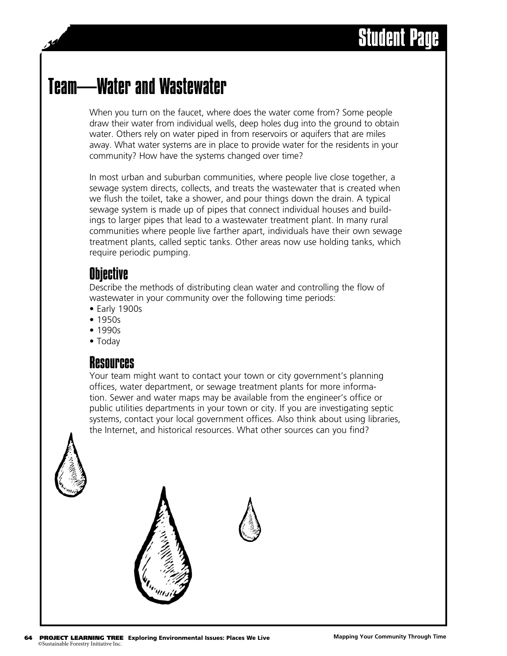## Team—Water and Wastewater

When you turn on the faucet, where does the water come from? Some people draw their water from individual wells, deep holes dug into the ground to obtain water. Others rely on water piped in from reservoirs or aquifers that are miles away. What water systems are in place to provide water for the residents in your community? How have the systems changed over time?

In most urban and suburban communities, where people live close together, a sewage system directs, collects, and treats the wastewater that is created when we flush the toilet, take a shower, and pour things down the drain. A typical sewage system is made up of pipes that connect individual houses and buildings to larger pipes that lead to a wastewater treatment plant. In many rural communities where people live farther apart, individuals have their own sewage treatment plants, called septic tanks. Other areas now use holding tanks, which require periodic pumping.

#### **Objective**

Describe the methods of distributing clean water and controlling the flow of wastewater in your community over the following time periods:

- Early 1900s
- 1950s
- 1990s
- Today

#### Resources

Your team might want to contact your town or city government's planning offices, water department, or sewage treatment plants for more information. Sewer and water maps may be available from the engineer's office or public utilities departments in your town or city. If you are investigating septic systems, contact your local government offices. Also think about using libraries, the Internet, and historical resources. What other sources can you find?





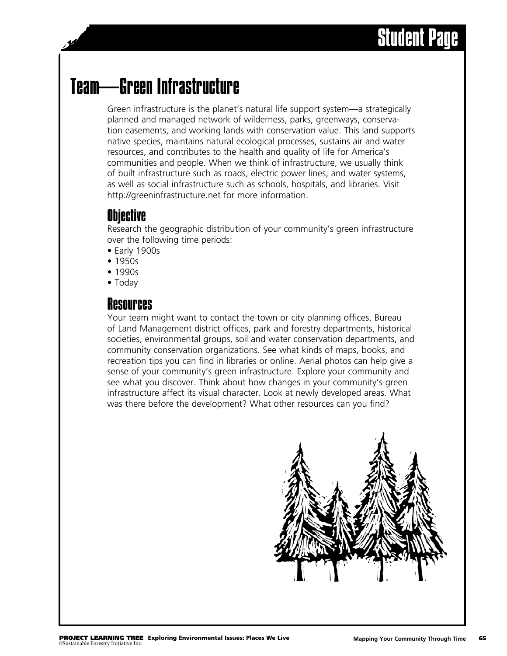# Student Page

## Team—Green Infrastructure

Green infrastructure is the planet's natural life support system—a strategically planned and managed network of wilderness, parks, greenways, conservation easements, and working lands with conservation value. This land supports native species, maintains natural ecological processes, sustains air and water resources, and contributes to the health and quality of life for America's communities and people. When we think of infrastructure, we usually think of built infrastructure such as roads, electric power lines, and water systems, as well as social infrastructure such as schools, hospitals, and libraries. Visit http://greeninfrastructure.net for more information.

#### **Objective**

Research the geographic distribution of your community's green infrastructure over the following time periods:

- Early 1900s
- 1950s
- 1990s
- Today

### Resources

Your team might want to contact the town or city planning offices, Bureau of Land Management district offices, park and forestry departments, historical societies, environmental groups, soil and water conservation departments, and community conservation organizations. See what kinds of maps, books, and recreation tips you can find in libraries or online. Aerial photos can help give a sense of your community's green infrastructure. Explore your community and see what you discover. Think about how changes in your community's green infrastructure affect its visual character. Look at newly developed areas. What was there before the development? What other resources can you find?